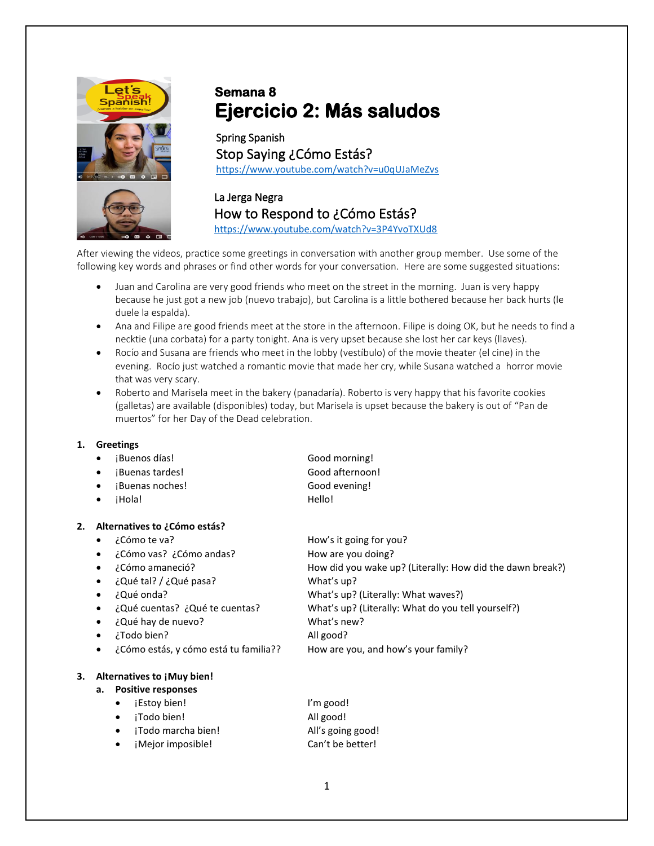

## **Semana 8 Ejercicio 2: Más saludos**

Spring Spanish Stop Saying ¿Cómo Estás? <https://www.youtube.com/watch?v=u0qUJaMeZvs>

La Jerga Negra How to Respond to ¿Cómo Estás? <https://www.youtube.com/watch?v=3P4YvoTXUd8>

After viewing the videos, practice some greetings in conversation with another group member. Use some of the following key words and phrases or find other words for your conversation. Here are some suggested situations:

- Juan and Carolina are very good friends who meet on the street in the morning. Juan is very happy because he just got a new job (nuevo trabajo), but Carolina is a little bothered because her back hurts (le duele la espalda).
- Ana and Filipe are good friends meet at the store in the afternoon. Filipe is doing OK, but he needs to find a necktie (una corbata) for a party tonight. Ana is very upset because she lost her car keys (llaves).
- Rocío and Susana are friends who meet in the lobby (vestíbulo) of the movie theater (el cine) in the evening. Rocío just watched a romantic movie that made her cry, while Susana watched a horror movie that was very scary.
- Roberto and Marisela meet in the bakery (panadaría). Roberto is very happy that his favorite cookies (galletas) are available (disponibles) today, but Marisela is upset because the bakery is out of "Pan de muertos" for her Day of the Dead celebration.

## **1. Greetings**

- i Buenos días! Cood morning!
- 
- ¡Buenas noches! Good evening!
- 

• ¡Buenas tardes! Good afternoon! iHola! **Hello!** 

| ¿Cómo te va?<br>٠                           | How's it going for you?                                   |  |  |  |
|---------------------------------------------|-----------------------------------------------------------|--|--|--|
| ¿Cómo vas? ¿Cómo andas?<br>$\bullet$        | How are you doing?                                        |  |  |  |
| ¿Cómo amaneció?<br>$\bullet$                | How did you wake up? (Literally: How did the dawn break?) |  |  |  |
| ¿Qué tal? / ¿Qué pasa?<br>$\bullet$         | What's up?                                                |  |  |  |
| ¿Qué onda?<br>$\bullet$                     | What's up? (Literally: What waves?)                       |  |  |  |
| ¿Qué cuentas? ¿Qué te cuentas?<br>$\bullet$ | What's up? (Literally: What do you tell yourself?)        |  |  |  |
| ¿Qué hay de nuevo?<br>$\bullet$             | What's new?                                               |  |  |  |
| ¿Todo bien?<br>$\bullet$                    | All good?                                                 |  |  |  |
| ¿Cómo estás, y cómo está tu familia??<br>٠  | How are you, and how's your family?                       |  |  |  |
| Alternatives to ¡Muy bien!                  |                                                           |  |  |  |
| <b>Positive responses</b><br>а.             |                                                           |  |  |  |
| <i>i</i> Estoy bien!<br>٠                   | I'm good!                                                 |  |  |  |
| iTodo bien!<br>٠                            | All good!                                                 |  |  |  |
|                                             | 2. .<br>Alternatives to ¿Cómo estás?                      |  |  |  |

- ¡Todo marcha bien! All's going good!
- iMejor imposible! Can't be better!